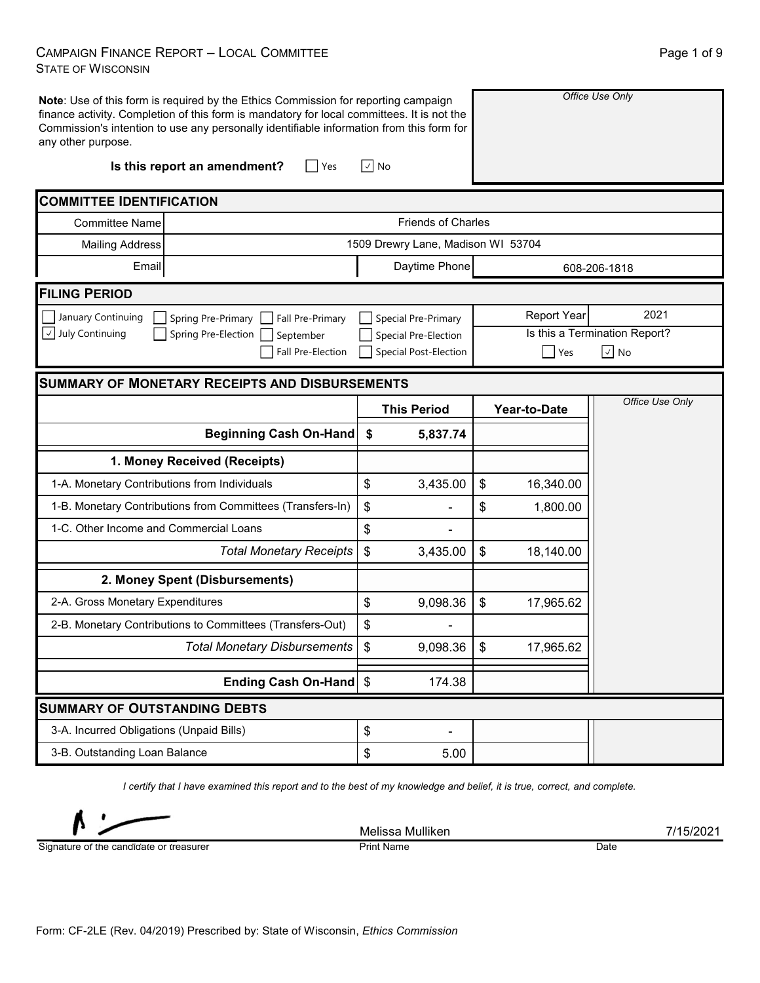## CAMPAIGN FINANCE REPORT – LOCAL COMMITTEE STATE OF WISCONSIN

| any other purpose.                                    | Note: Use of this form is required by the Ethics Commission for reporting campaign<br>finance activity. Completion of this form is mandatory for local committees. It is not the<br>Commission's intention to use any personally identifiable information from this form for |                                                                             |                                    | Office Use Only           |                                                            |                 |  |  |  |  |  |
|-------------------------------------------------------|------------------------------------------------------------------------------------------------------------------------------------------------------------------------------------------------------------------------------------------------------------------------------|-----------------------------------------------------------------------------|------------------------------------|---------------------------|------------------------------------------------------------|-----------------|--|--|--|--|--|
|                                                       | Is this report an amendment?<br>$\Box$ Yes                                                                                                                                                                                                                                   | $\sqrt{ }$ No                                                               |                                    |                           |                                                            |                 |  |  |  |  |  |
| <b>COMMITTEE IDENTIFICATION</b>                       |                                                                                                                                                                                                                                                                              |                                                                             |                                    |                           |                                                            |                 |  |  |  |  |  |
| <b>Committee Name</b>                                 |                                                                                                                                                                                                                                                                              | <b>Friends of Charles</b>                                                   |                                    |                           |                                                            |                 |  |  |  |  |  |
| <b>Mailing Address</b>                                |                                                                                                                                                                                                                                                                              |                                                                             | 1509 Drewry Lane, Madison WI 53704 |                           |                                                            |                 |  |  |  |  |  |
| Email                                                 |                                                                                                                                                                                                                                                                              |                                                                             | Daytime Phone                      |                           |                                                            | 608-206-1818    |  |  |  |  |  |
| <b>FILING PERIOD</b>                                  |                                                                                                                                                                                                                                                                              |                                                                             |                                    |                           |                                                            |                 |  |  |  |  |  |
| January Continuing<br>July Continuing<br>$\checkmark$ |                                                                                                                                                                                                                                                                              | Special Pre-Primary<br>Special Pre-Election<br><b>Special Post-Election</b> |                                    | <b>Report Year</b><br>Yes | 2021<br>Is this a Termination Report?<br>$\boxed{\vee}$ No |                 |  |  |  |  |  |
|                                                       | <b>SUMMARY OF MONETARY RECEIPTS AND DISBURSEMENTS</b>                                                                                                                                                                                                                        |                                                                             |                                    |                           |                                                            |                 |  |  |  |  |  |
|                                                       |                                                                                                                                                                                                                                                                              |                                                                             | <b>This Period</b>                 |                           | Year-to-Date                                               | Office Use Only |  |  |  |  |  |
|                                                       | <b>Beginning Cash On-Hand</b>                                                                                                                                                                                                                                                | \$                                                                          | 5,837.74                           |                           |                                                            |                 |  |  |  |  |  |
|                                                       | 1. Money Received (Receipts)                                                                                                                                                                                                                                                 |                                                                             |                                    |                           |                                                            |                 |  |  |  |  |  |
| 1-A. Monetary Contributions from Individuals          |                                                                                                                                                                                                                                                                              | \$                                                                          | 3,435.00                           | \$                        | 16,340.00                                                  |                 |  |  |  |  |  |
|                                                       | 1-B. Monetary Contributions from Committees (Transfers-In)                                                                                                                                                                                                                   | \$                                                                          |                                    | \$                        | 1,800.00                                                   |                 |  |  |  |  |  |
| 1-C. Other Income and Commercial Loans                |                                                                                                                                                                                                                                                                              | \$                                                                          |                                    |                           |                                                            |                 |  |  |  |  |  |
|                                                       | <b>Total Monetary Receipts</b>                                                                                                                                                                                                                                               | \$                                                                          | 3,435.00                           | \$                        | 18,140.00                                                  |                 |  |  |  |  |  |
|                                                       | 2. Money Spent (Disbursements)                                                                                                                                                                                                                                               |                                                                             |                                    |                           |                                                            |                 |  |  |  |  |  |
|                                                       |                                                                                                                                                                                                                                                                              |                                                                             |                                    |                           |                                                            |                 |  |  |  |  |  |
| 2-A. Gross Monetary Expenditures                      |                                                                                                                                                                                                                                                                              | \$                                                                          | 9,098.36                           | $\boldsymbol{\mathsf{S}}$ | 17,965.62                                                  |                 |  |  |  |  |  |
|                                                       | 2-B. Monetary Contributions to Committees (Transfers-Out)                                                                                                                                                                                                                    | \$                                                                          |                                    |                           |                                                            |                 |  |  |  |  |  |
|                                                       | Total Monetary Disbursements                                                                                                                                                                                                                                                 | \$                                                                          | 9,098.36                           | -\$                       | 17,965.62                                                  |                 |  |  |  |  |  |
|                                                       | Ending Cash On-Hand \$                                                                                                                                                                                                                                                       |                                                                             | 174.38                             |                           |                                                            |                 |  |  |  |  |  |
| <b>SUMMARY OF OUTSTANDING DEBTS</b>                   |                                                                                                                                                                                                                                                                              |                                                                             |                                    |                           |                                                            |                 |  |  |  |  |  |
| 3-A. Incurred Obligations (Unpaid Bills)              |                                                                                                                                                                                                                                                                              | \$                                                                          | ۰                                  |                           |                                                            |                 |  |  |  |  |  |

*I certify that I have examined this report and to the best of my knowledge and belief, it is true, correct, and complete.*

Signature of the candidate or treasurer

Melissa Mulliken 2008 australia 1990 australia 1990 australia 1990 australia 1990 australia 1990 australia 199 Print Name Date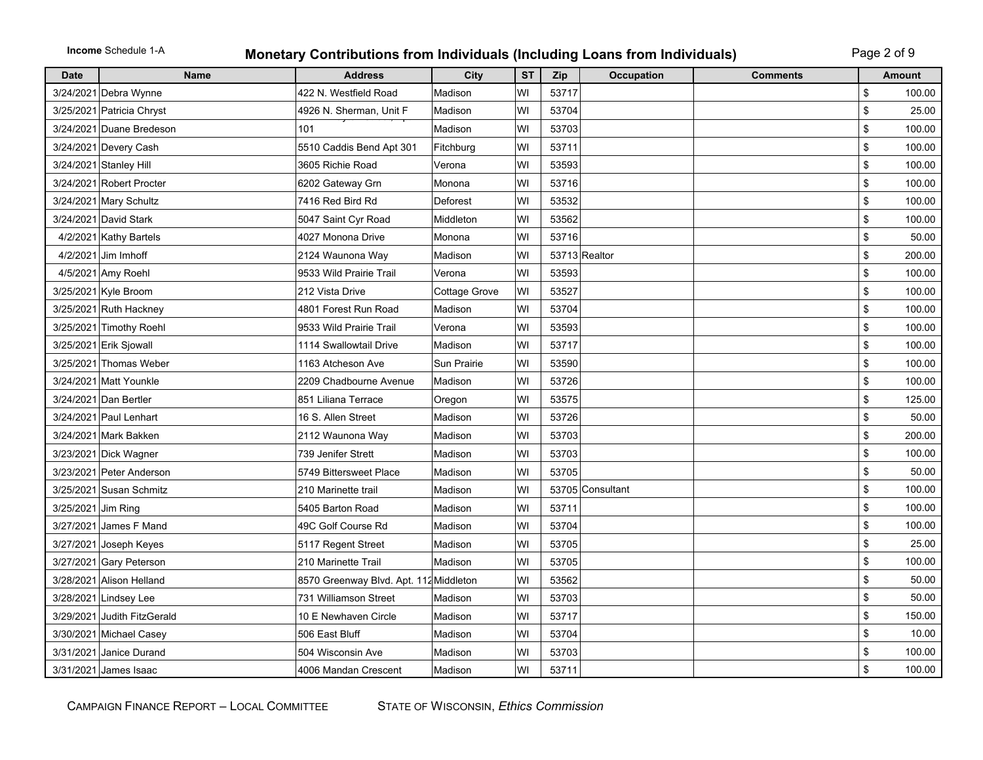**Income** Schedule 1-A

## **Monetary Contributions from Individuals (Including Loans from Individuals)** Page 2 of 9

| <b>Date</b>        | <b>Name</b>                 | <b>Address</b>                         | City               | <b>ST</b> | Zip   | <b>Occupation</b> | <b>Comments</b> |                | <b>Amount</b> |
|--------------------|-----------------------------|----------------------------------------|--------------------|-----------|-------|-------------------|-----------------|----------------|---------------|
|                    | 3/24/2021 Debra Wynne       | 422 N. Westfield Road                  | Madison            | WI        | 53717 |                   |                 | \$             | 100.00        |
|                    | 3/25/2021 Patricia Chryst   | 4926 N. Sherman, Unit F                | Madison            | WI        | 53704 |                   |                 | \$             | 25.00         |
|                    | 3/24/2021 Duane Bredeson    | 101                                    | Madison            | WI        | 53703 |                   |                 | \$             | 100.00        |
|                    | 3/24/2021 Devery Cash       | 5510 Caddis Bend Apt 301               | Fitchburg          | WI        | 53711 |                   |                 | \$             | 100.00        |
|                    | 3/24/2021 Stanley Hill      | 3605 Richie Road                       | Verona             | WI        | 53593 |                   |                 | \$             | 100.00        |
|                    | 3/24/2021 Robert Procter    | 6202 Gateway Grn                       | Monona             | WI        | 53716 |                   |                 | $$\mathbb{S}$$ | 100.00        |
|                    | 3/24/2021 Mary Schultz      | 7416 Red Bird Rd                       | Deforest           | WI        | 53532 |                   |                 | \$             | 100.00        |
|                    | 3/24/2021 David Stark       | 5047 Saint Cyr Road                    | Middleton          | WI        | 53562 |                   |                 | \$             | 100.00        |
|                    | 4/2/2021 Kathy Bartels      | 4027 Monona Drive                      | Monona             | WI        | 53716 |                   |                 | \$             | 50.00         |
|                    | 4/2/2021 Jim Imhoff         | 2124 Waunona Way                       | Madison            | WI        |       | 53713 Realtor     |                 | \$             | 200.00        |
|                    | 4/5/2021 Amy Roehl          | 9533 Wild Prairie Trail                | Verona             | WI        | 53593 |                   |                 | \$             | 100.00        |
|                    | 3/25/2021 Kyle Broom        | 212 Vista Drive                        | Cottage Grove      | WI        | 53527 |                   |                 | \$             | 100.00        |
|                    | 3/25/2021 Ruth Hackney      | 4801 Forest Run Road                   | Madison            | WI        | 53704 |                   |                 | \$             | 100.00        |
|                    | 3/25/2021 Timothy Roehl     | 9533 Wild Prairie Trail                | Verona             | WI        | 53593 |                   |                 | \$             | 100.00        |
|                    | 3/25/2021 Erik Sjowall      | 1114 Swallowtail Drive                 | Madison            | WI        | 53717 |                   |                 | \$             | 100.00        |
|                    | 3/25/2021 Thomas Weber      | 1163 Atcheson Ave                      | <b>Sun Prairie</b> | WI        | 53590 |                   |                 | \$             | 100.00        |
|                    | 3/24/2021 Matt Younkle      | 2209 Chadbourne Avenue                 | Madison            | WI        | 53726 |                   |                 | \$             | 100.00        |
|                    | 3/24/2021 Dan Bertler       | 851 Liliana Terrace                    | Oregon             | WI        | 53575 |                   |                 | \$             | 125.00        |
|                    | 3/24/2021 Paul Lenhart      | 16 S. Allen Street                     | Madison            | WI        | 53726 |                   |                 | \$             | 50.00         |
|                    | 3/24/2021 Mark Bakken       | 2112 Waunona Way                       | Madison            | WI        | 53703 |                   |                 | \$             | 200.00        |
|                    | 3/23/2021 Dick Wagner       | 739 Jenifer Strett                     | Madison            | WI        | 53703 |                   |                 | \$             | 100.00        |
|                    | 3/23/2021 Peter Anderson    | 5749 Bittersweet Place                 | Madison            | WI        | 53705 |                   |                 | \$             | 50.00         |
|                    | 3/25/2021 Susan Schmitz     | 210 Marinette trail                    | Madison            | WI        |       | 53705 Consultant  |                 | \$             | 100.00        |
| 3/25/2021 Jim Ring |                             | 5405 Barton Road                       | Madison            | WI        | 53711 |                   |                 | \$             | 100.00        |
|                    | 3/27/2021 James F Mand      | 49C Golf Course Rd                     | Madison            | WI        | 53704 |                   |                 | \$             | 100.00        |
|                    | 3/27/2021 Joseph Keyes      | 5117 Regent Street                     | Madison            | WI        | 53705 |                   |                 | \$             | 25.00         |
|                    | 3/27/2021 Gary Peterson     | 210 Marinette Trail                    | Madison            | WI        | 53705 |                   |                 | \$             | 100.00        |
|                    | 3/28/2021 Alison Helland    | 8570 Greenway Blvd. Apt. 112 Middleton |                    | WI        | 53562 |                   |                 | \$             | 50.00         |
|                    | 3/28/2021 Lindsey Lee       | 731 Williamson Street                  | Madison            | WI        | 53703 |                   |                 | \$             | 50.00         |
|                    | 3/29/2021 Judith FitzGerald | 10 E Newhaven Circle                   | Madison            | WI        | 53717 |                   |                 | \$             | 150.00        |
|                    | 3/30/2021 Michael Casey     | 506 East Bluff                         | Madison            | WI        | 53704 |                   |                 | \$             | 10.00         |
|                    | 3/31/2021 Janice Durand     | 504 Wisconsin Ave                      | Madison            | WI        | 53703 |                   |                 | \$             | 100.00        |
|                    | 3/31/2021 James Isaac       | 4006 Mandan Crescent                   | Madison            | WI        | 53711 |                   |                 | \$             | 100.00        |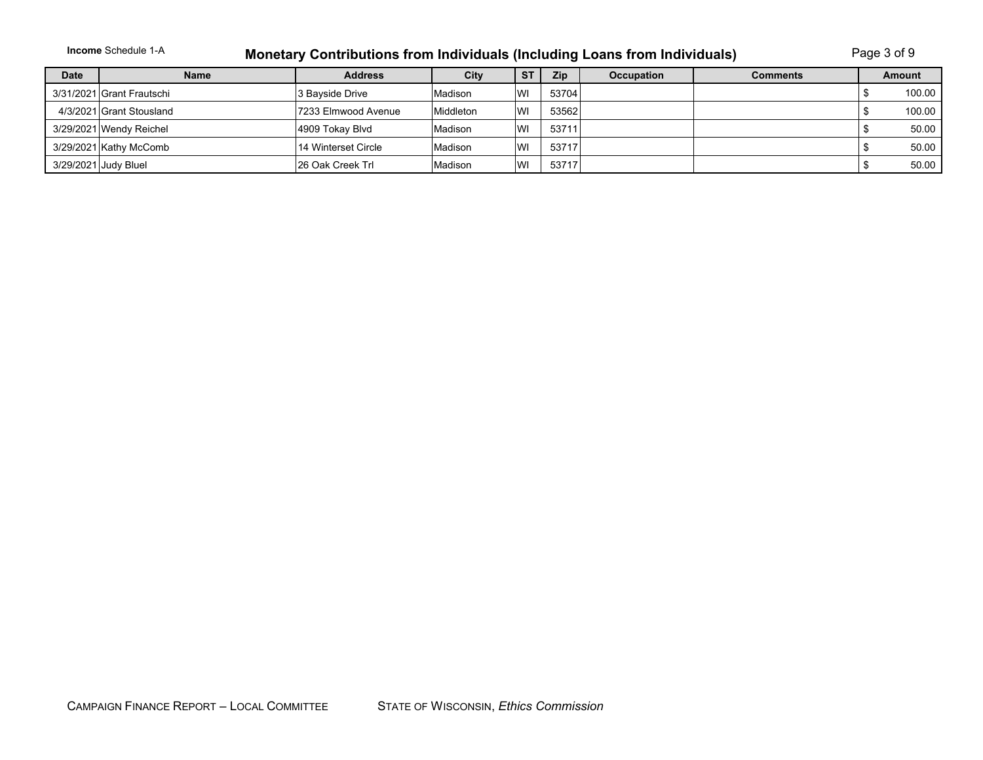| <b>Income</b> Schedule 1-A | <b>Monetary Contributions from Individuals (Including Loans from Individuals)</b> | Page 3 of 9 |
|----------------------------|-----------------------------------------------------------------------------------|-------------|
|----------------------------|-----------------------------------------------------------------------------------|-------------|

| <b>Date</b> | <b>Name</b>               | <b>Address</b>      | City      | <b>ST</b> | <b>Zip</b> | <b>Occupation</b> | <b>Comments</b> | Amount |
|-------------|---------------------------|---------------------|-----------|-----------|------------|-------------------|-----------------|--------|
|             | 3/31/2021 Grant Frautschi | 3 Bayside Drive     | Madison   | WI        | 53704      |                   |                 | 100.00 |
|             | 4/3/2021 Grant Stousland  | 7233 Elmwood Avenue | Middleton | WI        | 53562      |                   |                 | 100.00 |
|             | 3/29/2021 Wendy Reichel   | 4909 Tokay Blvd     | Madison   | WI        | 53711      |                   |                 | 50.00  |
|             | 3/29/2021 Kathy McComb    | 14 Winterset Circle | Madison   | WI        | 53717      |                   |                 | 50.00  |
|             | 3/29/2021 Judy Bluel      | 126 Oak Creek Trl   | Madison   | WI        | 53717      |                   |                 | 50.00  |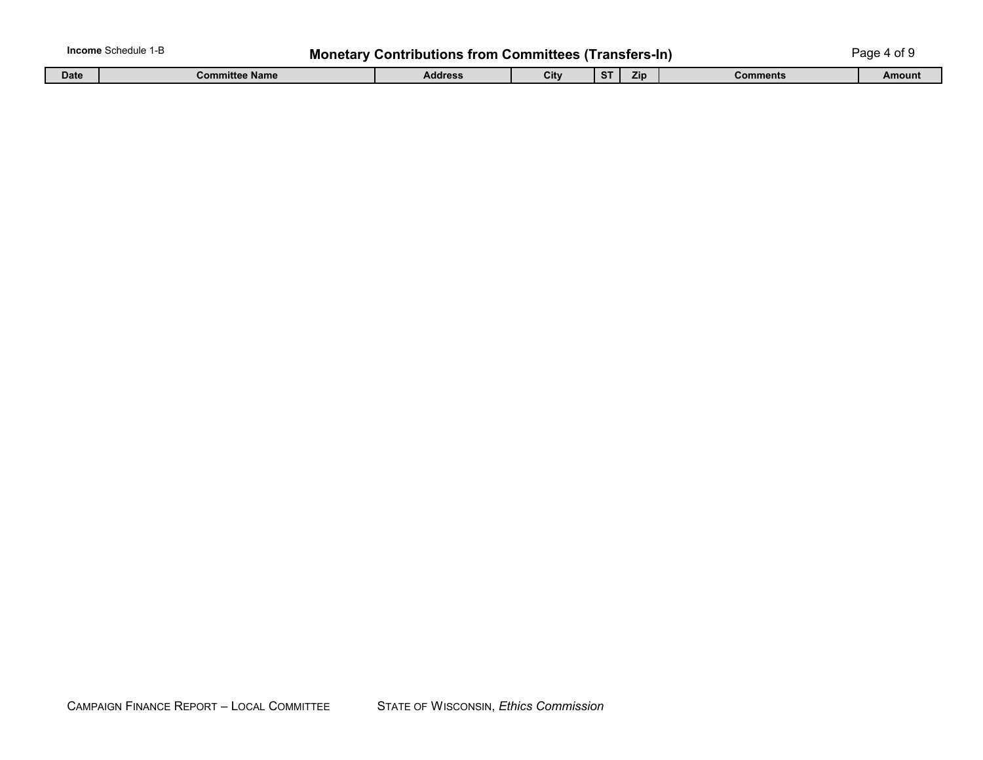| <b>Income</b> Schedule 1-B<br><b>Monetary Contributions from Committees (Transfers-In)</b><br>Page 4 of 9 |                       |                |      |     |            |          |        |  |
|-----------------------------------------------------------------------------------------------------------|-----------------------|----------------|------|-----|------------|----------|--------|--|
| <b>Date</b>                                                                                               | <b>Committee Name</b> | <b>Address</b> | City | -ST | <b>Zip</b> | Comments | Amount |  |

| CAMPAIGN FINANCE REPORT - LOCAL COMMITTEE | STATE OF WISCONSIN, Ethics Commission |
|-------------------------------------------|---------------------------------------|
|                                           |                                       |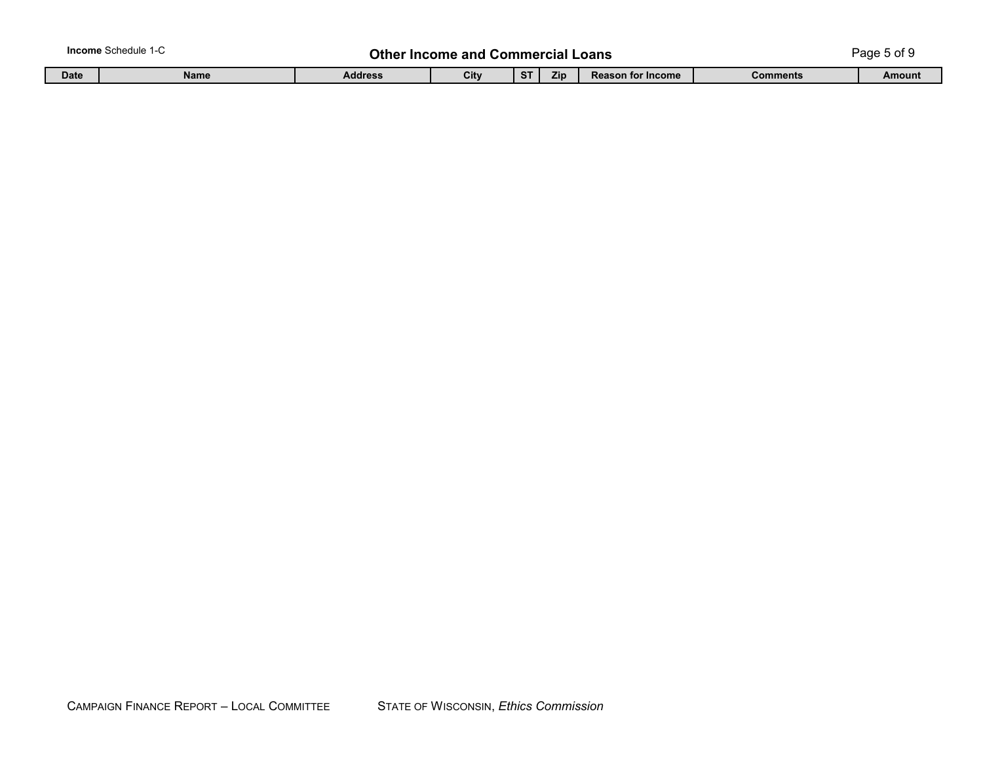|             | <b>Income</b> Schedule 1-C |         | <b>Other Income and Commercial L</b> |              | Loans      |                          | Page 5 of ! |        |
|-------------|----------------------------|---------|--------------------------------------|--------------|------------|--------------------------|-------------|--------|
| <b>Date</b> | <b>Name</b>                | Address | City                                 | $\sim$<br>C. | <b>Zip</b> | <b>Reason for Income</b> | Comments    | Amount |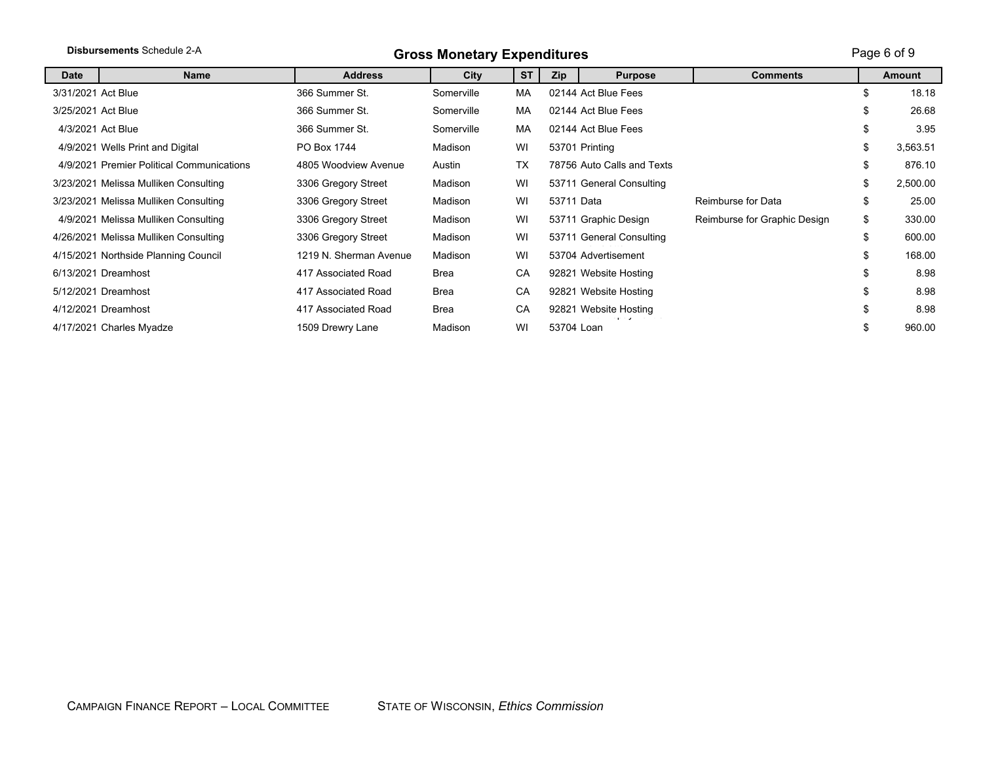|                    | Disbursements Schedule 2-A                | <b>Gross Monetary Expenditures</b> |            |           |            |                                       |                              |    |               |  |
|--------------------|-------------------------------------------|------------------------------------|------------|-----------|------------|---------------------------------------|------------------------------|----|---------------|--|
| <b>Date</b>        | <b>Name</b>                               | <b>Address</b>                     | City       | <b>ST</b> | <b>Zip</b> | <b>Purpose</b>                        | <b>Comments</b>              |    | <b>Amount</b> |  |
| 3/31/2021 Act Blue |                                           | 366 Summer St.                     | Somerville | МA        |            | 02144 Act Blue Fees                   |                              | \$ | 18.18         |  |
| 3/25/2021 Act Blue |                                           | 366 Summer St.                     | Somerville | МA        |            | 02144 Act Blue Fees                   |                              | \$ | 26.68         |  |
| 4/3/2021 Act Blue  |                                           | 366 Summer St.                     | Somerville | MA        |            | 02144 Act Blue Fees                   |                              | \$ | 3.95          |  |
|                    | 4/9/2021 Wells Print and Digital          | PO Box 1744                        | Madison    | WI        |            | 53701 Printing                        |                              | \$ | 3,563.51      |  |
|                    | 4/9/2021 Premier Political Communications | 4805 Woodview Avenue               | Austin     | <b>TX</b> |            | 78756 Auto Calls and Texts            |                              | \$ | 876.10        |  |
|                    | 3/23/2021 Melissa Mulliken Consulting     | 3306 Gregory Street                | Madison    | WI        |            | 53711 General Consulting              |                              | \$ | 2,500.00      |  |
|                    | 3/23/2021 Melissa Mulliken Consulting     | 3306 Gregory Street                | Madison    | WI        | 53711 Data |                                       | Reimburse for Data           | \$ | 25.00         |  |
|                    | 4/9/2021 Melissa Mulliken Consulting      | 3306 Gregory Street                | Madison    | WI        |            | 53711 Graphic Design                  | Reimburse for Graphic Design | \$ | 330.00        |  |
|                    | 4/26/2021 Melissa Mulliken Consulting     | 3306 Gregory Street                | Madison    | WI        |            | 53711 General Consulting              |                              | \$ | 600.00        |  |
|                    | 4/15/2021 Northside Planning Council      | 1219 N. Sherman Avenue             | Madison    | WI        |            | 53704 Advertisement                   |                              | \$ | 168.00        |  |
|                    | 6/13/2021 Dreamhost                       | 417 Associated Road                | Brea       | CA        |            | 92821 Website Hosting                 |                              | \$ | 8.98          |  |
|                    | 5/12/2021 Dreamhost                       | 417 Associated Road                | Brea       | CA        |            | 92821 Website Hosting                 |                              | \$ | 8.98          |  |
|                    | 4/12/2021 Dreamhost                       | 417 Associated Road                | Brea       | CA        |            | 92821 Website Hosting<br>. . <b>,</b> |                              | \$ | 8.98          |  |
|                    | 4/17/2021 Charles Myadze                  | 1509 Drewry Lane                   | Madison    | WI        | 53704 Loan |                                       |                              | \$ | 960.00        |  |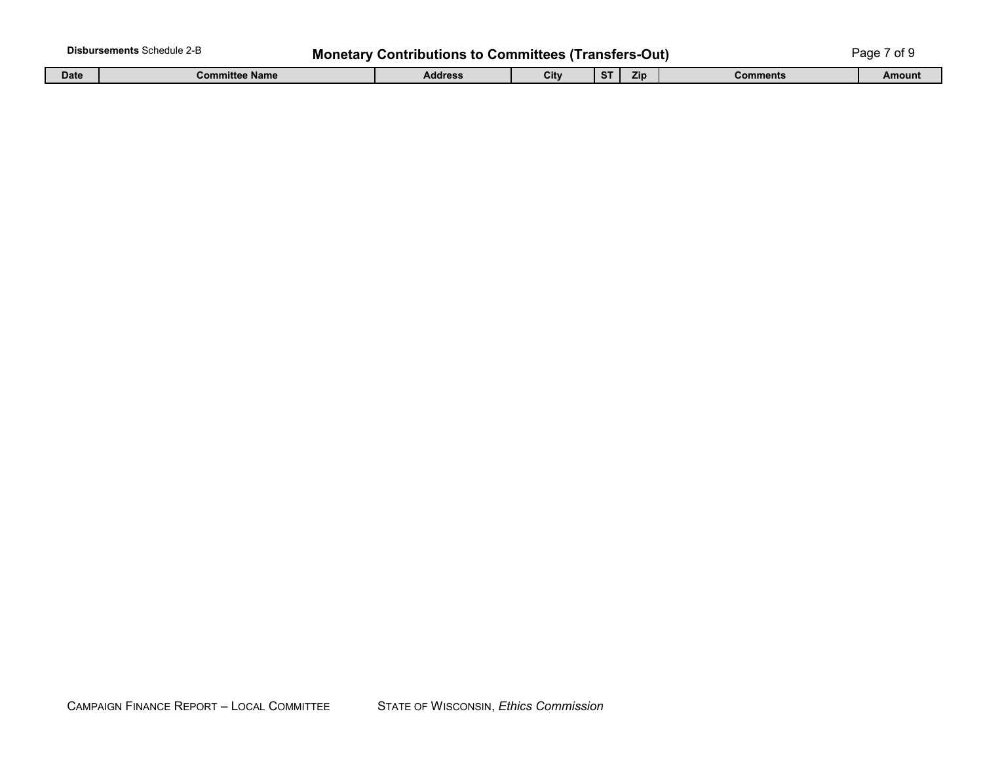| <b>Disbursements Schedule 2-B</b><br><b>Monetary Contributions to Committees (Transfers-Out)</b><br>⊃aɑe |                |         |      |           |     |          |        |  |
|----------------------------------------------------------------------------------------------------------|----------------|---------|------|-----------|-----|----------|--------|--|
| <b>Date</b>                                                                                              | Committee Name | Address | City | <b>ST</b> | Zin | Comments | Amount |  |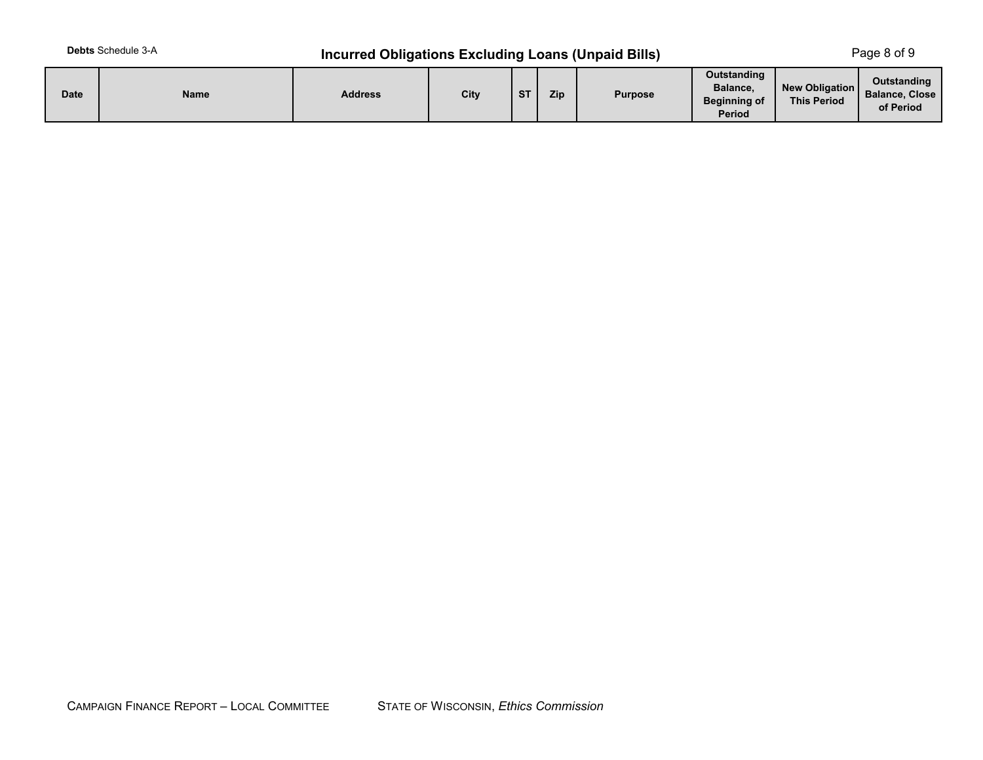## **Incurred Obligations Excluding Loans (Unpaid Bills)** Page 8 of 9

| <b>Date</b> | <b>Name</b> | <b>Address</b> | City | $^{\circ}$ | Zip | <b>Purpose</b> | Outstanding<br>Balance,<br><b>Beginning of</b><br>Period | New Obligation<br><b>This Period</b> | Outstanding<br><b>Balance, Close</b><br>of Period |
|-------------|-------------|----------------|------|------------|-----|----------------|----------------------------------------------------------|--------------------------------------|---------------------------------------------------|
|-------------|-------------|----------------|------|------------|-----|----------------|----------------------------------------------------------|--------------------------------------|---------------------------------------------------|